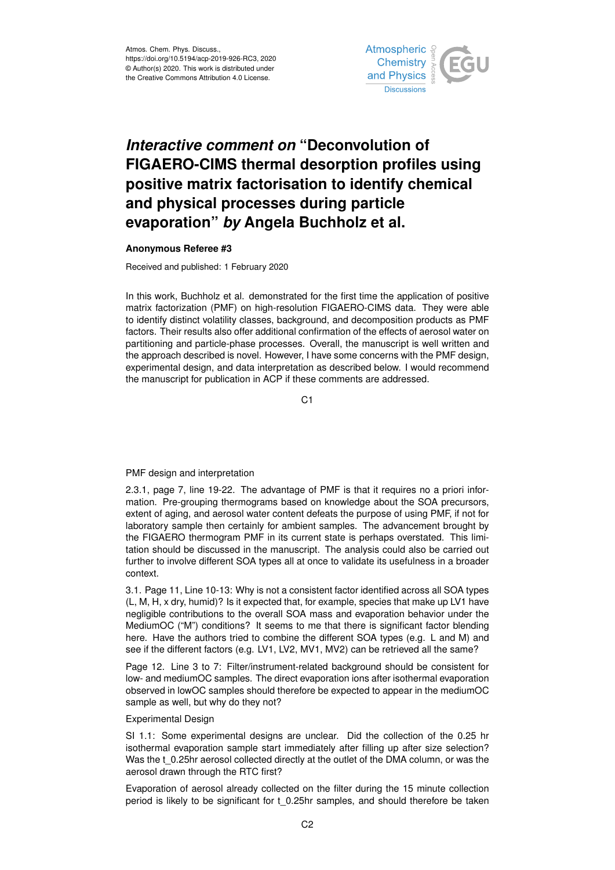

## *Interactive comment on* **"Deconvolution of FIGAERO-CIMS thermal desorption profiles using positive matrix factorisation to identify chemical and physical processes during particle evaporation"** *by* **Angela Buchholz et al.**

## **Anonymous Referee #3**

Received and published: 1 February 2020

In this work, Buchholz et al. demonstrated for the first time the application of positive matrix factorization (PMF) on high-resolution FIGAERO-CIMS data. They were able to identify distinct volatility classes, background, and decomposition products as PMF factors. Their results also offer additional confirmation of the effects of aerosol water on partitioning and particle-phase processes. Overall, the manuscript is well written and the approach described is novel. However, I have some concerns with the PMF design, experimental design, and data interpretation as described below. I would recommend the manuscript for publication in ACP if these comments are addressed.

C<sub>1</sub>

## PMF design and interpretation

2.3.1, page 7, line 19-22. The advantage of PMF is that it requires no a priori information. Pre-grouping thermograms based on knowledge about the SOA precursors, extent of aging, and aerosol water content defeats the purpose of using PMF, if not for laboratory sample then certainly for ambient samples. The advancement brought by the FIGAERO thermogram PMF in its current state is perhaps overstated. This limitation should be discussed in the manuscript. The analysis could also be carried out further to involve different SOA types all at once to validate its usefulness in a broader context.

3.1. Page 11, Line 10-13: Why is not a consistent factor identified across all SOA types (L, M, H, x dry, humid)? Is it expected that, for example, species that make up LV1 have negligible contributions to the overall SOA mass and evaporation behavior under the MediumOC ("M") conditions? It seems to me that there is significant factor blending here. Have the authors tried to combine the different SOA types (e.g. L and M) and see if the different factors (e.g. LV1, LV2, MV1, MV2) can be retrieved all the same?

Page 12. Line 3 to 7: Filter/instrument-related background should be consistent for low- and mediumOC samples. The direct evaporation ions after isothermal evaporation observed in lowOC samples should therefore be expected to appear in the mediumOC sample as well, but why do they not?

## Experimental Design

SI 1.1: Some experimental designs are unclear. Did the collection of the 0.25 hr isothermal evaporation sample start immediately after filling up after size selection? Was the t\_0.25hr aerosol collected directly at the outlet of the DMA column, or was the aerosol drawn through the RTC first?

Evaporation of aerosol already collected on the filter during the 15 minute collection period is likely to be significant for t\_0.25hr samples, and should therefore be taken